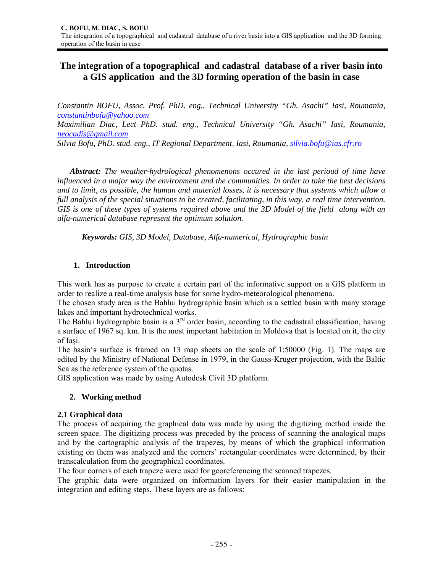# **The integration of a topographical and cadastral database of a river basin into a GIS application and the 3D forming operation of the basin in case**

*Constantin BOFU, Assoc. Prof. PhD. eng., Technical University "Gh. Asachi" Iasi, Roumania, constantinbofu@yahoo.com* 

*Maximilian Diac, Lect PhD. stud. eng., Technical University "Gh. Asachi" Iasi, Roumania, neocadis@gmail.com* 

*Silvia Bofu, PhD. stud. eng., IT Regional Department, Iasi, Roumania, silvia.bofu@ias.cfr.ro* 

*Abstract: The weather-hydrological phenomenons occured in the last perioud of time have influenced in a major way the environment and the communities. In order to take the best decisions and to limit, as possible, the human and material losses, it is necessary that systems which allow a full analysis of the special situations to be created, facilitating, in this way, a real time intervention. GIS is one of these types of systems required above and the 3D Model of the field along with an alfa-numerical database represent the optimum solution.* 

*Keywords: GIS, 3D Model, Database, Alfa-numerical, Hydrographic basin* 

### **1. Introduction**

This work has as purpose to create a certain part of the informative support on a GIS platform in order to realize a real-time analysis base for some hydro-meteorological phenomena.

The chosen study area is the Bahlui hydrographic basin which is a settled basin with many storage lakes and important hydrotechnical works.

The Bahlui hydrographic basin is a  $3<sup>rd</sup>$  order basin, according to the cadastral classification, having a surface of 1967 sq. km. It is the most important habitation in Moldova that is located on it, the city of Iaşi.

The basin's surface is framed on 13 map sheets on the scale of 1:50000 (Fig. 1). The maps are edited by the Ministry of National Defense in 1979, in the Gauss-Kruger projection, with the Baltic Sea as the reference system of the quotas.

GIS application was made by using Autodesk Civil 3D platform.

### **2. Working method**

### **2.1 Graphical data**

The process of acquiring the graphical data was made by using the digitizing method inside the screen space. The digitizing process was preceded by the process of scanning the analogical maps and by the cartographic analysis of the trapezes, by means of which the graphical information existing on them was analyzed and the corners' rectangular coordinates were determined, by their transcalculation from the geographical coordinates.

The four corners of each trapeze were used for georeferencing the scanned trapezes.

The graphic data were organized on information layers for their easier manipulation in the integration and editing steps. These layers are as follows: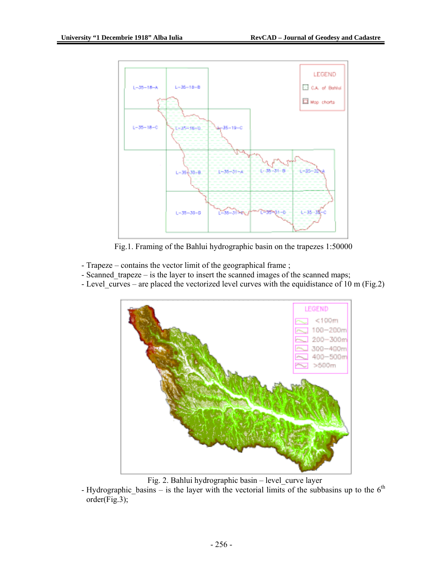

Fig.1. Framing of the Bahlui hydrographic basin on the trapezes 1:50000

- Trapeze contains the vector limit of the geographical frame ;
- Scanned trapeze is the layer to insert the scanned images of the scanned maps;
- Level curves are placed the vectorized level curves with the equidistance of 10 m (Fig.2)



Fig. 2. Bahlui hydrographic basin – level\_curve layer

- Hydrographic\_basins – is the layer with the vectorial limits of the subbasins up to the  $6<sup>th</sup>$ order(Fig.3);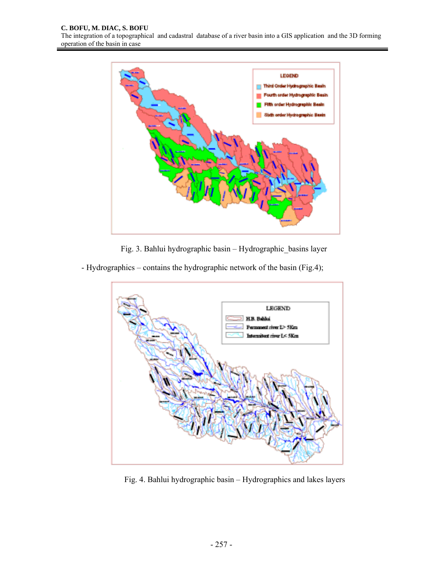

Fig. 3. Bahlui hydrographic basin – Hydrographic\_basins layer

- Hydrographics – contains the hydrographic network of the basin (Fig.4);



Fig. 4. Bahlui hydrographic basin – Hydrographics and lakes layers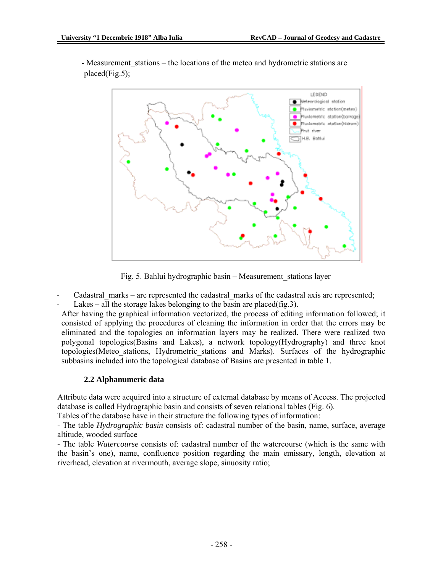

- Measurement stations – the locations of the meteo and hydrometric stations are placed(Fig.5);

Fig. 5. Bahlui hydrographic basin – Measurement\_stations layer

Cadastral marks – are represented the cadastral marks of the cadastral axis are represented;

Lakes – all the storage lakes belonging to the basin are placed(fig. 3).

After having the graphical information vectorized, the process of editing information followed; it consisted of applying the procedures of cleaning the information in order that the errors may be eliminated and the topologies on information layers may be realized. There were realized two polygonal topologies(Basins and Lakes), a network topology(Hydrography) and three knot topologies(Meteo\_stations, Hydrometric\_stations and Marks). Surfaces of the hydrographic subbasins included into the topological database of Basins are presented in table 1.

### **2.2 Alphanumeric data**

Attribute data were acquired into a structure of external database by means of Access. The projected database is called Hydrographic basin and consists of seven relational tables (Fig. 6).

Tables of the database have in their structure the following types of information:

- The table *Hydrographic basin* consists of: cadastral number of the basin, name, surface, average altitude, wooded surface

- The table *Watercourse* consists of: cadastral number of the watercourse (which is the same with the basin's one), name, confluence position regarding the main emissary, length, elevation at riverhead, elevation at rivermouth, average slope, sinuosity ratio;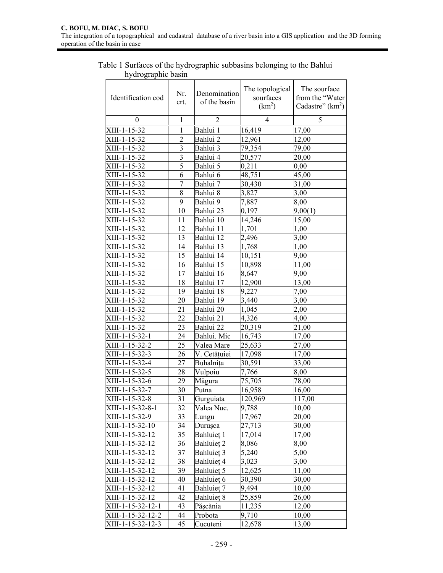Table 1 Surfaces of the hydrographic subbasins belonging to the Bahlui hydrographic basin

| Identification cod | Nr.<br>crt.             | Denomination<br>of the basin | The topological<br>sourfaces<br>(km <sup>2</sup> ) | The sourface<br>from the "Water<br>Cadastre" $(km2)$ |
|--------------------|-------------------------|------------------------------|----------------------------------------------------|------------------------------------------------------|
| $\overline{0}$     | $\mathbf{1}$            | 2                            | 4                                                  | 5                                                    |
| XIII-1-15-32       | 1                       | Bahlui 1                     | 16,419                                             | 17,00                                                |
| XIII-1-15-32       | $\overline{2}$          | Bahlui 2                     | 12,961                                             | 12,00                                                |
| XIII-1-15-32       | $\overline{3}$          | Bahlui 3                     | 79,354                                             | 79,00                                                |
| XIII-1-15-32       | $\overline{\mathbf{3}}$ | Bahlui 4                     | 20,577                                             | 20,00                                                |
| XIII-1-15-32       | 5                       | Bahlui 5                     | 0,211                                              | 0,00                                                 |
| XIII-1-15-32       | 6                       | Bahlui 6                     | 48,751                                             | 45,00                                                |
| XIII-1-15-32       | 7                       | Bahlui 7                     | 30,430                                             | 31,00                                                |
| XIII-1-15-32       | 8                       | Bahlui 8                     | 3,827                                              | 3,00                                                 |
| XIII-1-15-32       | 9                       | Bahlui 9                     | 7,887                                              | 8,00                                                 |
| XIII-1-15-32       | 10                      | Bahlui 23                    | 0,197                                              | 9,00(1)                                              |
| XIII-1-15-32       | 11                      | Bahlui 10                    | 14,246                                             | 15,00                                                |
| XIII-1-15-32       | 12                      | Bahlui 11                    | 1,701                                              | 1,00                                                 |
| XIII-1-15-32       | 13                      | Bahlui 12                    | 2,496                                              | 3,00                                                 |
| XIII-1-15-32       | 14                      | Bahlui 13                    | 1,768                                              | 1,00                                                 |
| XIII-1-15-32       | 15                      | Bahlui 14                    | 10,151                                             | 9,00                                                 |
| XIII-1-15-32       | 16                      | Bahlui 15                    | 10,898                                             | 11,00                                                |
| XIII-1-15-32       | 17                      | Bahlui 16                    | 8,647                                              | 9,00                                                 |
| XIII-1-15-32       | 18                      | Bahlui 17                    | 12,900                                             | 13,00                                                |
| XIII-1-15-32       | 19                      | Bahlui 18                    | 9,227                                              | 7,00                                                 |
| XIII-1-15-32       | 20                      | Bahlui 19                    | 3,440                                              | 3,00                                                 |
| XIII-1-15-32       | 21                      | Bahlui 20                    | 1,045                                              | 2,00                                                 |
| XIII-1-15-32       | 22                      | Bahlui 21                    | 4,326                                              | 4,00                                                 |
| XIII-1-15-32       | 23                      | Bahlui 22                    | 20,319                                             | 21,00                                                |
| XIII-1-15-32-1     | 24                      | Bahlui. Mic                  | 16,743                                             | 17,00                                                |
| XIII-1-15-32-2     | 25                      | Valea Mare                   | 25,633                                             | 27,00                                                |
| XIII-1-15-32-3     | 26                      | V. Cetățuiei                 | 17,098                                             | 17,00                                                |
| XIII-1-15-32-4     | 27                      | Buhalnița                    | 30,591                                             | 33,00                                                |
| XIII-1-15-32-5     | 28                      | Vulpoiu                      | 7,766                                              | 8,00                                                 |
| XIII-1-15-32-6     | 29                      | Măgura                       | 75,705                                             | 78,00                                                |
| XIII-1-15-32-7     | 30                      | Putna                        | 16,958                                             | 16,00                                                |
| XIII-1-15-32-8     | 31                      | Gurguiata                    | 120,969                                            | 117,00                                               |
| XIII-1-15-32-8-1   | 32                      | Valea Nuc.                   | 9,788                                              | 10,00                                                |
| XIII-1-15-32-9     | 33                      | Lungu                        | 17,967                                             | 20,00                                                |
| XIII-1-15-32-10    | 34                      | Durușca                      | 27,713                                             | 30,00                                                |
| XIII-1-15-32-12    | 35                      | Bahluieț 1                   | 17,014                                             | 17,00                                                |
| XIII-1-15-32-12    | 36                      | Bahluieț <sub>2</sub>        | 8,086                                              | 8,00                                                 |
| XIII-1-15-32-12    | 37                      | Bahluieț 3                   | 5,240                                              | 5,00                                                 |
| XIII-1-15-32-12    | 38                      | Bahluieț 4                   | 3,023                                              | 3,00                                                 |
| XIII-1-15-32-12    | 39                      | Bahluieț 5                   | 12,625                                             | 11,00                                                |
| XIII-1-15-32-12    | 40                      | Bahluiet 6                   | 30,390                                             | 30,00                                                |
| XIII-1-15-32-12    | 41                      | Bahluieț 7                   | 9,494                                              | 10,00                                                |
| XIII-1-15-32-12    | 42                      | Bahluieț 8                   | 25,859                                             | 26,00                                                |
| XIII-1-15-32-12-1  | 43                      | Pășcănia                     | 11,235                                             | 12,00                                                |
| XIII-1-15-32-12-2  | 44                      | Probota                      | 9,710                                              | 10,00                                                |
| XIII-1-15-32-12-3  | 45                      | Cucuteni                     | 12,678                                             | 13,00                                                |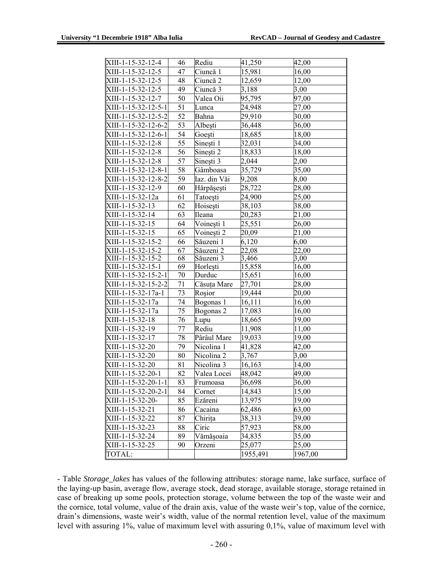| XIII-1-15-32-12-4     | 46              | Rediu        | 41,250   | 42,00   |
|-----------------------|-----------------|--------------|----------|---------|
| XIII-1-15-32-12-5     | 47              | Ciuncă 1     | 15,981   | 16,00   |
| XIII-1-15-32-12-5     | 48              | Ciuncă 2     | 12,659   | 12,00   |
| XIII-1-15-32-12-5     | 49              | Ciuncă 3     | 3,188    | 3,00    |
| XIII-1-15-32-12-7     | 50              | Valea Oii    | 95,795   | 97,00   |
| $XIII-1-15-32-12-5-1$ | 51              | Lunca        | 24,948   | 27,00   |
| XIII-1-15-32-12-5-2   | 52              | Bahna        | 29,910   | 30,00   |
| XIII-1-15-32-12-6-2   | 53              | Albești      | 36,448   | 36,00   |
| XIII-1-15-32-12-6-1   | 54              | Goești       | 18,685   | 18,00   |
| XIII-1-15-32-12-8     | 55              | Sinești 1    | 32,031   | 34,00   |
| XIII-1-15-32-12-8     | 56              | Sinești 2    | 18,833   | 18,00   |
| XIII-1-15-32-12-8     | 57              | Sinești 3    | 2,044    | 2,00    |
| XIII-1-15-32-12-8-1   | 58              | Gâmboasa     | 35,729   | 35,00   |
| XIII-1-15-32-12-8-2   | 59              | Iaz. din Văi | 9,208    | 8,00    |
| XIII-1-15-32-12-9     | 60              | Hărpășești   | 28,722   | 28,00   |
| XIII-1-15-32-12a      | 61              | Tatoești     | 24,900   | 25,00   |
| XIII-1-15-32-13       | 62              | Hoisești     | 38,103   | 38,00   |
| XIII-1-15-32-14       | 63              | Ileana       | 20,283   | 21,00   |
| XIII-1-15-32-15       | 64              | Voinești 1   | 25,551   | 26,00   |
| XIII-1-15-32-15       | 65              | Voinești 2   | 20,09    | 21,00   |
| XIII-1-15-32-15-2     | 66              | Săuzeni 1    | 6,120    | 6,00    |
| XIII-1-15-32-15-2     | 67              | Săuzeni 2    | 22,08    | 22,00   |
| XIII-1-15-32-15-2     | 68              | Săuzeni 3    | 3,466    | 3,00    |
| XIII-1-15-32-15-1     | 69              | Horleşti     | 15,858   | 16,00   |
| XIII-1-15-32-15-2-1   | $70\,$          | Durduc       | 15,651   | 16,00   |
| XIII-1-15-32-15-2-2   | 71              | Căsuța Mare  | 27,701   | 28,00   |
| XIII-1-15-32-17a-1    | 73              | Roșior       | 19,444   | 20,00   |
| XIII-1-15-32-17a      | 74              | Bogonas 1    | 16,111   | 16,00   |
| XIII-1-15-32-17a      | 75              | Bogonas 2    | 17,083   | 16,00   |
| XIII-1-15-32-18       | 76              | Lupu         | 18,665   | 19,00   |
| XIII-1-15-32-19       | 77              | Rediu        | 11,908   | 11,00   |
| XIII-1-15-32-17       | 78              | Pârâul Mare  | 19,033   | 19,00   |
| XIII-1-15-32-20       | 79              | Nicolina 1   | 41,828   | 42,00   |
| XIII-1-15-32-20       | 80              | Nicolina 2   | 3,767    | 3,00    |
| XIII-1-15-32-20       | 81              | Nicolina 3   | 16,163   | 14,00   |
| XIII-1-15-32-20-1     | 82              | Valea Locei  | 48,042   | 49,00   |
| $XIII-1-15-32-20-1-1$ | $\overline{83}$ | Frumoasa     | 36,698   | 36,00   |
| XIII-1-15-32-20-2-1   | 84              | Cornet       | 14,843   | 15,00   |
| XIII-1-15-32-20-      | 85              | Ezăreni      | 13,975   | 19,00   |
| XIII-1-15-32-21       | 86              | Cacaina      | 62,486   | 63,00   |
| XIII-1-15-32-22       | 87              | Chirița      | 38,313   | 39,00   |
| XIII-1-15-32-23       | 88              | Ciric        | 57,923   | 58,00   |
| XIII-1-15-32-24       | 89              | Vămășoaia    | 34,835   | 35,00   |
| XIII-1-15-32-25       | 90              | Orzeni       | 25,077   | 25,00   |
| TOTAL:                |                 |              | 1955,491 | 1967,00 |

- Table *Storage\_lakes* has values of the following attributes: storage name, lake surface, surface of the laying-up basin, average flow, average stock, dead storage, available storage, storage retained in case of breaking up some pools, protection storage, volume between the top of the waste weir and the cornice, total volume, value of the drain axis, value of the waste weir's top, value of the cornice, drain's dimensions, waste weir's width, value of the normal retention level, value of the maximum level with assuring 1%, value of maximum level with assuring 0,1%, value of maximum level with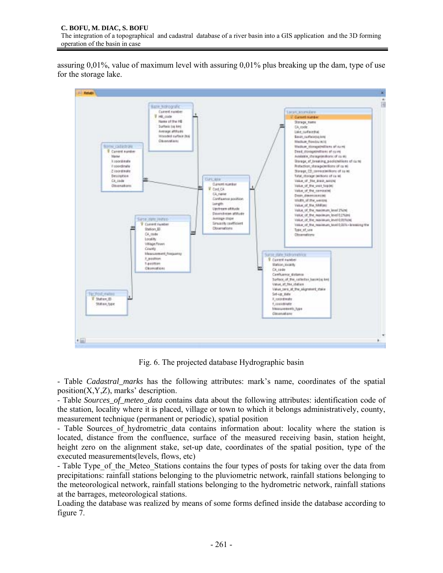assuring 0,01%, value of maximum level with assuring 0,01% plus breaking up the dam, type of use for the storage lake.



Fig. 6. The projected database Hydrographic basin

- Table *Cadastral\_marks* has the following attributes: mark's name, coordinates of the spatial position $(X, Y, Z)$ , marks' description.

- Table *Sources\_of\_meteo\_data* contains data about the following attributes: identification code of the station, locality where it is placed, village or town to which it belongs administratively, county, measurement technique (permanent or periodic), spatial position

- Table Sources of hydrometric data contains information about: locality where the station is located, distance from the confluence, surface of the measured receiving basin, station height, height zero on the alignment stake, set-up date, coordinates of the spatial position, type of the executed measurements(levels, flows, etc)

- Table Type of the Meteo Stations contains the four types of posts for taking over the data from precipitations: rainfall stations belonging to the pluviometric network, rainfall stations belonging to the meteorological network, rainfall stations belonging to the hydrometric network, rainfall stations at the barrages, meteorological stations.

Loading the database was realized by means of some forms defined inside the database according to figure 7.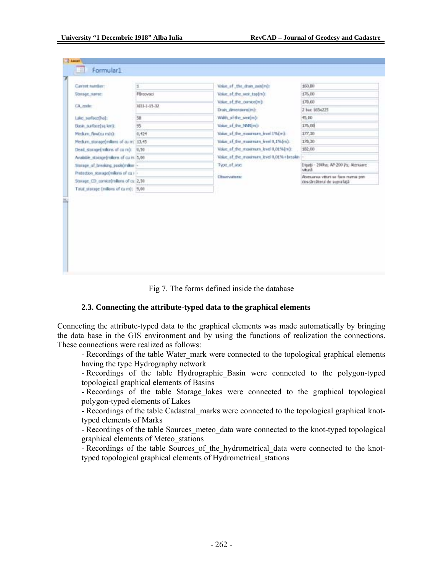| Storage_name:<br>CA code:              | <b>PS/covaci</b> | Value, of the weir top(m):                  |                                               |
|----------------------------------------|------------------|---------------------------------------------|-----------------------------------------------|
|                                        |                  |                                             | 176,00                                        |
|                                        | 1011-1-15-32     | Value of the cornordin):                    | 178,60                                        |
|                                        |                  | Drain_dmensons(m):                          | 2 but 165x225                                 |
| Lake surfaceOval:                      | 58               | Width of the westing:                       | 45,00                                         |
| Basin_surface[sq km2                   | 95               | Value of the NNOm):                         | 176,00                                        |
| Hedum, flaw(ou m/s):                   | 0,424            | Value of the maximum level 1%(m):           | 177,30                                        |
| Pledum_storage(millions of cu.m. 13,45 |                  | Value of the maximum level 0,1%(m):         | 176,30                                        |
| Dead, storage(millons of cu m): (6,50) |                  | Value of the maximum level 0,01% (m):       | 182,00                                        |
| Available storage(millons of cu m 3,08 |                  | Value, af, the ,maximum, level 0,01%+breakn |                                               |
| Storage of breaking pools(millon i-    |                  | Type of use:                                | Engati - 200ha; AP-200 Ps; Atenuare<br>vitură |
| Protection stanage(milens of cu+       |                  | Chawyutzea:                                 | Abenaarea vitari se face nama pre-            |
| Storage CD convice(millons of cu 2,50  |                  |                                             | descărcătorul de suprafață                    |
| Total storage (milions of cu m): (9,00 |                  |                                             |                                               |

Fig 7. The forms defined inside the database

#### **2.3. Connecting the attribute-typed data to the graphical elements**

Connecting the attribute-typed data to the graphical elements was made automatically by bringing the data base in the GIS environment and by using the functions of realization the connections. These connections were realized as follows:

- Recordings of the table Water mark were connected to the topological graphical elements having the type Hydrography network

- Recordings of the table Hydrographic Basin were connected to the polygon-typed topological graphical elements of Basins

- Recordings of the table Storage lakes were connected to the graphical topological polygon-typed elements of Lakes

- Recordings of the table Cadastral\_marks were connected to the topological graphical knottyped elements of Marks

- Recordings of the table Sources meteo data ware connected to the knot-typed topological graphical elements of Meteo\_stations

- Recordings of the table Sources of the hydrometrical data were connected to the knottyped topological graphical elements of Hydrometrical\_stations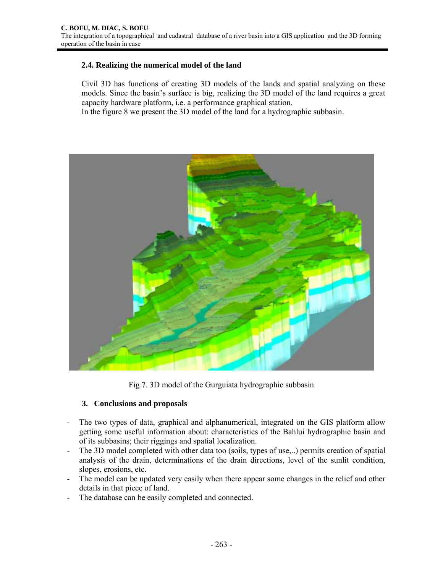## **2.4. Realizing the numerical model of the land**

Civil 3D has functions of creating 3D models of the lands and spatial analyzing on these models. Since the basin's surface is big, realizing the 3D model of the land requires a great capacity hardware platform, i.e. a performance graphical station.

In the figure 8 we present the 3D model of the land for a hydrographic subbasin.



Fig 7. 3D model of the Gurguiata hydrographic subbasin

## **3. Conclusions and proposals**

- The two types of data, graphical and alphanumerical, integrated on the GIS platform allow getting some useful information about: characteristics of the Bahlui hydrographic basin and of its subbasins; their riggings and spatial localization.
- The 3D model completed with other data too (soils, types of use,..) permits creation of spatial analysis of the drain, determinations of the drain directions, level of the sunlit condition, slopes, erosions, etc.
- The model can be updated very easily when there appear some changes in the relief and other details in that piece of land.
- The database can be easily completed and connected.